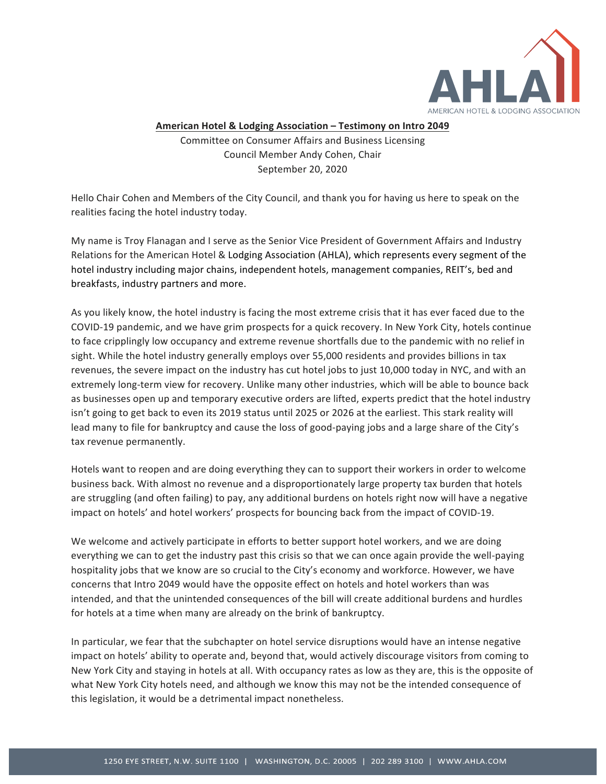

## American Hotel & Lodging Association - Testimony on Intro 2049

Committee on Consumer Affairs and Business Licensing Council Member Andy Cohen, Chair September 20, 2020

Hello Chair Cohen and Members of the City Council, and thank you for having us here to speak on the realities facing the hotel industry today.

My name is Troy Flanagan and I serve as the Senior Vice President of Government Affairs and Industry Relations for the American Hotel & Lodging Association (AHLA), which represents every segment of the hotel industry including major chains, independent hotels, management companies, REIT's, bed and breakfasts, industry partners and more.

As you likely know, the hotel industry is facing the most extreme crisis that it has ever faced due to the COVID-19 pandemic, and we have grim prospects for a quick recovery. In New York City, hotels continue to face cripplingly low occupancy and extreme revenue shortfalls due to the pandemic with no relief in sight. While the hotel industry generally employs over 55,000 residents and provides billions in tax revenues, the severe impact on the industry has cut hotel jobs to just 10,000 today in NYC, and with an extremely long-term view for recovery. Unlike many other industries, which will be able to bounce back as businesses open up and temporary executive orders are lifted, experts predict that the hotel industry isn't going to get back to even its 2019 status until 2025 or 2026 at the earliest. This stark reality will lead many to file for bankruptcy and cause the loss of good-paying jobs and a large share of the City's tax revenue permanently.

Hotels want to reopen and are doing everything they can to support their workers in order to welcome business back. With almost no revenue and a disproportionately large property tax burden that hotels are struggling (and often failing) to pay, any additional burdens on hotels right now will have a negative impact on hotels' and hotel workers' prospects for bouncing back from the impact of COVID-19.

We welcome and actively participate in efforts to better support hotel workers, and we are doing everything we can to get the industry past this crisis so that we can once again provide the well-paying hospitality jobs that we know are so crucial to the City's economy and workforce. However, we have concerns that Intro 2049 would have the opposite effect on hotels and hotel workers than was intended, and that the unintended consequences of the bill will create additional burdens and hurdles for hotels at a time when many are already on the brink of bankruptcy.

In particular, we fear that the subchapter on hotel service disruptions would have an intense negative impact on hotels' ability to operate and, beyond that, would actively discourage visitors from coming to New York City and staying in hotels at all. With occupancy rates as low as they are, this is the opposite of what New York City hotels need, and although we know this may not be the intended consequence of this legislation, it would be a detrimental impact nonetheless.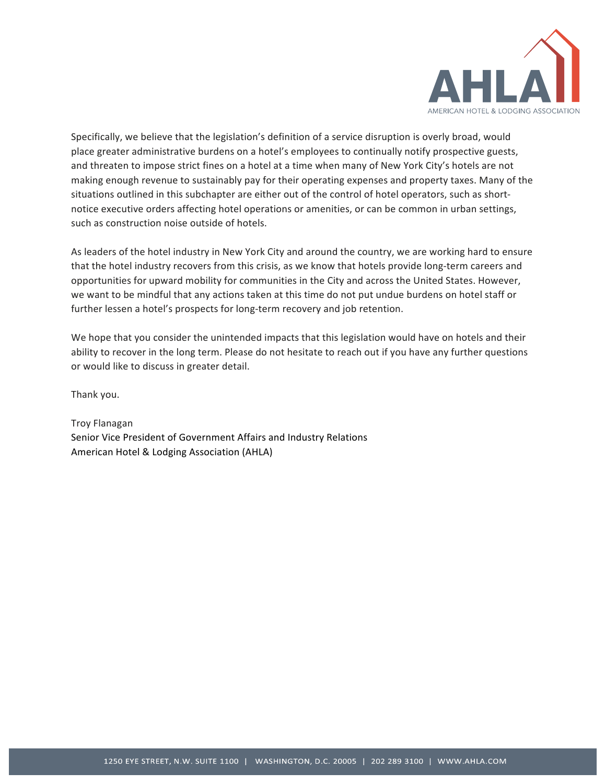

Specifically, we believe that the legislation's definition of a service disruption is overly broad, would place greater administrative burdens on a hotel's employees to continually notify prospective guests, and threaten to impose strict fines on a hotel at a time when many of New York City's hotels are not making enough revenue to sustainably pay for their operating expenses and property taxes. Many of the situations outlined in this subchapter are either out of the control of hotel operators, such as shortnotice executive orders affecting hotel operations or amenities, or can be common in urban settings, such as construction noise outside of hotels.

As leaders of the hotel industry in New York City and around the country, we are working hard to ensure that the hotel industry recovers from this crisis, as we know that hotels provide long-term careers and opportunities for upward mobility for communities in the City and across the United States. However, we want to be mindful that any actions taken at this time do not put undue burdens on hotel staff or further lessen a hotel's prospects for long-term recovery and job retention.

We hope that you consider the unintended impacts that this legislation would have on hotels and their ability to recover in the long term. Please do not hesitate to reach out if you have any further questions or would like to discuss in greater detail.

Thank you.

Troy Flanagan Senior Vice President of Government Affairs and Industry Relations American Hotel & Lodging Association (AHLA)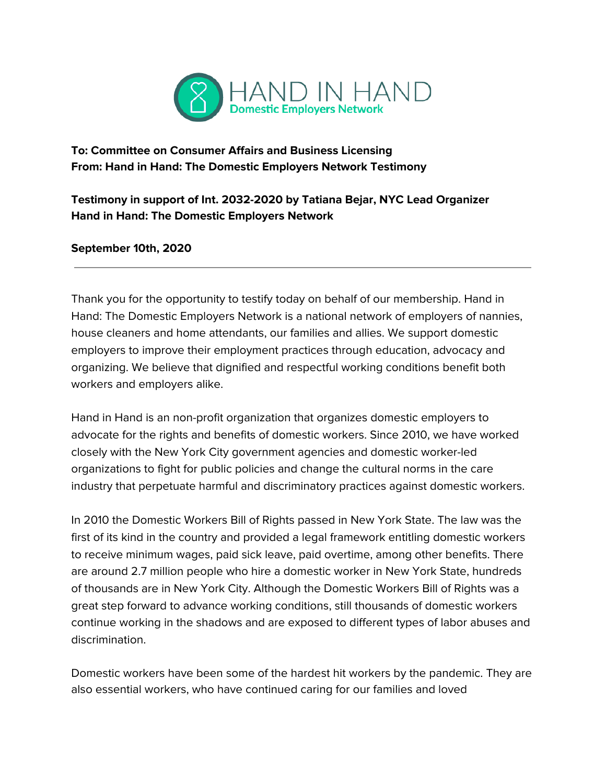

**To: Committee on Consumer Affairs and Business Licensing From: Hand in Hand: The Domestic Employers Network Testimony**

**Testimony in support of Int. 2032-2020 by Tatiana Bejar, NYC Lead Organizer Hand in Hand: The Domestic Employers Network**

**September 10th, 2020**

Thank you for the opportunity to testify today on behalf of our membership. Hand in Hand: The Domestic Employers Network is a national network of employers of nannies, house cleaners and home attendants, our families and allies. We support domestic employers to improve their employment practices through education, advocacy and organizing. We believe that dignified and respectful working conditions benefit both workers and employers alike.

Hand in Hand is an non-profit organization that organizes domestic employers to advocate for the rights and benefits of domestic workers. Since 2010, we have worked closely with the New York City government agencies and domestic worker-led organizations to fight for public policies and change the cultural norms in the care industry that perpetuate harmful and discriminatory practices against domestic workers.

In 2010 the Domestic Workers Bill of Rights passed in New York State. The law was the first of its kind in the country and provided a legal framework entitling domestic workers to receive minimum wages, paid sick leave, paid overtime, among other benefits. There are around 2.7 million people who hire a domestic worker in New York State, hundreds of thousands are in New York City. Although the Domestic Workers Bill of Rights was a great step forward to advance working conditions, still thousands of domestic workers continue working in the shadows and are exposed to different types of labor abuses and discrimination.

Domestic workers have been some of the hardest hit workers by the pandemic. They are also essential workers, who have continued caring for our families and loved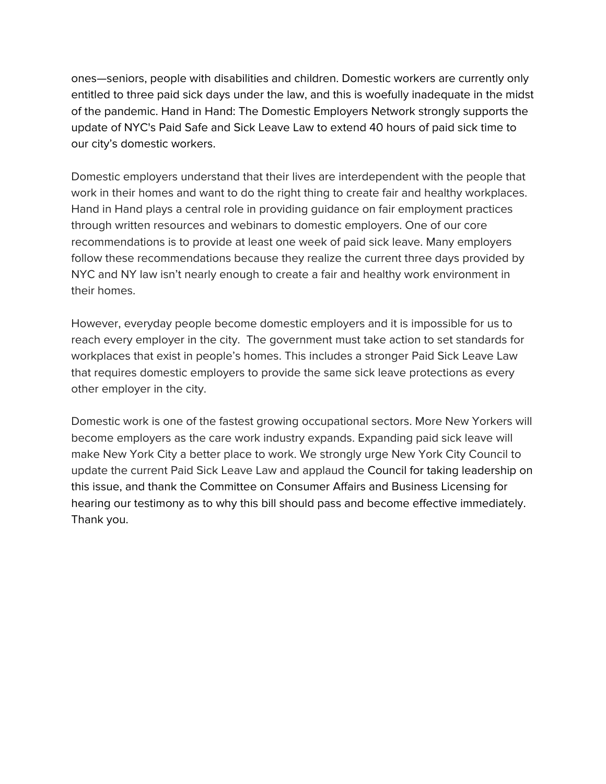ones—seniors, people with disabilities and children. Domestic workers are currently only entitled to three paid sick days under the law, and this is woefully inadequate in the midst of the pandemic. Hand in Hand: The Domestic Employers Network strongly supports the update of NYC's Paid Safe and Sick Leave Law to extend 40 hours of paid sick time to our city's domestic workers.

Domestic employers understand that their lives are interdependent with the people that work in their homes and want to do the right thing to create fair and healthy workplaces. Hand in Hand plays a central role in providing guidance on fair employment practices through written resources and webinars to domestic employers. One of our core recommendations is to provide at least one week of paid sick leave. Many employers follow these recommendations because they realize the current three days provided by NYC and NY law isn't nearly enough to create a fair and healthy work environment in their homes.

However, everyday people become domestic employers and it is impossible for us to reach every employer in the city. The government must take action to set standards for workplaces that exist in people's homes. This includes a stronger Paid Sick Leave Law that requires domestic employers to provide the same sick leave protections as every other employer in the city.

Domestic work is one of the fastest growing occupational sectors. More New Yorkers will become employers as the care work industry expands. Expanding paid sick leave will make New York City a better place to work. We strongly urge New York City Council to update the current Paid Sick Leave Law and applaud the Council for taking leadership on this issue, and thank the Committee on Consumer Affairs and Business Licensing for hearing our testimony as to why this bill should pass and become effective immediately. Thank you.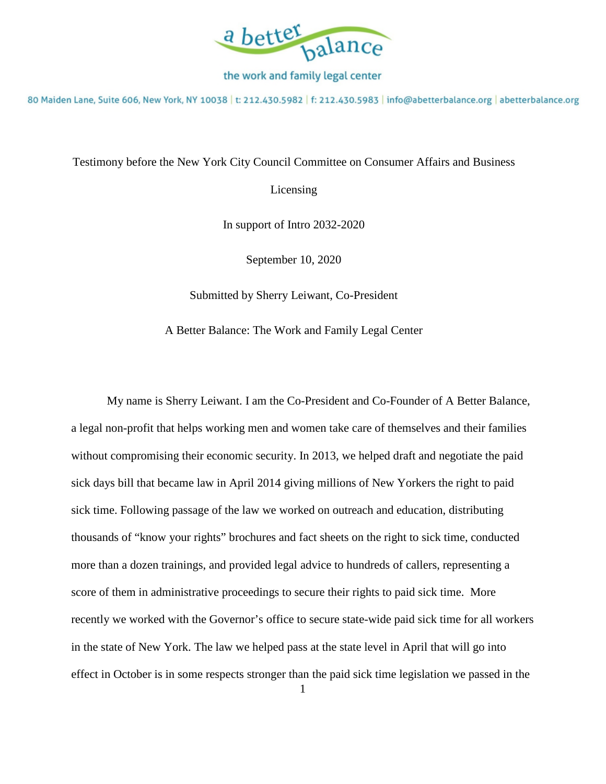

80 Maiden Lane, Suite 606, New York, NY 10038 | t: 212.430.5982 | f: 212.430.5983 | info@abetterbalance.org | abetterbalance.org

Testimony before the New York City Council Committee on Consumer Affairs and Business

Licensing

In support of Intro 2032-2020

September 10, 2020

Submitted by Sherry Leiwant, Co-President

A Better Balance: The Work and Family Legal Center

My name is Sherry Leiwant. I am the Co-President and Co-Founder of A Better Balance, a legal non-profit that helps working men and women take care of themselves and their families without compromising their economic security. In 2013, we helped draft and negotiate the paid sick days bill that became law in April 2014 giving millions of New Yorkers the right to paid sick time. Following passage of the law we worked on outreach and education, distributing thousands of "know your rights" brochures and fact sheets on the right to sick time, conducted more than a dozen trainings, and provided legal advice to hundreds of callers, representing a score of them in administrative proceedings to secure their rights to paid sick time. More recently we worked with the Governor's office to secure state-wide paid sick time for all workers in the state of New York. The law we helped pass at the state level in April that will go into effect in October is in some respects stronger than the paid sick time legislation we passed in the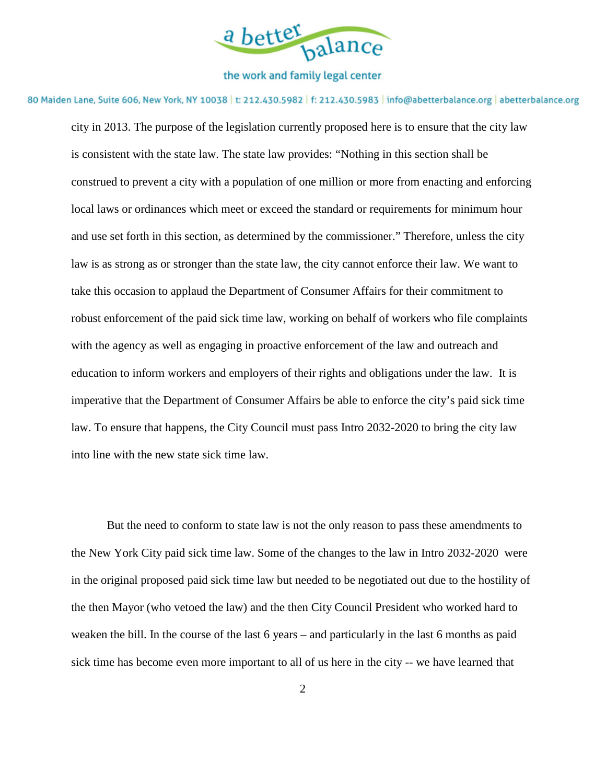

80 Maiden Lane, Suite 606, New York, NY 10038 | t: 212.430.5982 | f: 212.430.5983 | info@abetterbalance.org | abetterbalance.org

city in 2013. The purpose of the legislation currently proposed here is to ensure that the city law is consistent with the state law. The state law provides: "Nothing in this section shall be construed to prevent a city with a population of one million or more from enacting and enforcing local laws or ordinances which meet or exceed the standard or requirements for minimum hour and use set forth in this section, as determined by the commissioner." Therefore, unless the city law is as strong as or stronger than the state law, the city cannot enforce their law. We want to take this occasion to applaud the Department of Consumer Affairs for their commitment to robust enforcement of the paid sick time law, working on behalf of workers who file complaints with the agency as well as engaging in proactive enforcement of the law and outreach and education to inform workers and employers of their rights and obligations under the law. It is imperative that the Department of Consumer Affairs be able to enforce the city's paid sick time law. To ensure that happens, the City Council must pass Intro 2032-2020 to bring the city law into line with the new state sick time law.

But the need to conform to state law is not the only reason to pass these amendments to the New York City paid sick time law. Some of the changes to the law in Intro 2032-2020 were in the original proposed paid sick time law but needed to be negotiated out due to the hostility of the then Mayor (who vetoed the law) and the then City Council President who worked hard to weaken the bill. In the course of the last 6 years – and particularly in the last 6 months as paid sick time has become even more important to all of us here in the city -- we have learned that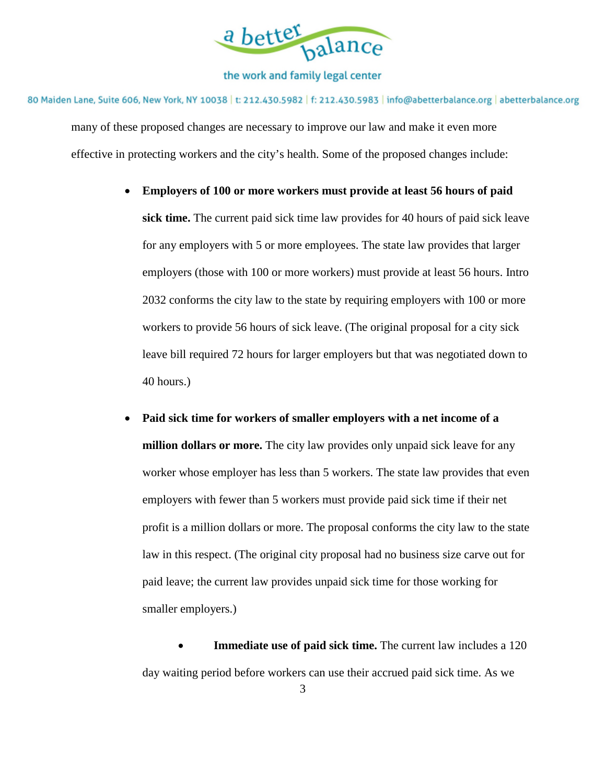

80 Maiden Lane, Suite 606, New York, NY 10038 | t: 212.430.5982 | f: 212.430.5983 | info@abetterbalance.org | abetterbalance.org many of these proposed changes are necessary to improve our law and make it even more effective in protecting workers and the city's health. Some of the proposed changes include:

- **Employers of 100 or more workers must provide at least 56 hours of paid sick time.** The current paid sick time law provides for 40 hours of paid sick leave for any employers with 5 or more employees. The state law provides that larger employers (those with 100 or more workers) must provide at least 56 hours. Intro 2032 conforms the city law to the state by requiring employers with 100 or more workers to provide 56 hours of sick leave. (The original proposal for a city sick leave bill required 72 hours for larger employers but that was negotiated down to 40 hours.)
- **Paid sick time for workers of smaller employers with a net income of a million dollars or more.** The city law provides only unpaid sick leave for any worker whose employer has less than 5 workers. The state law provides that even employers with fewer than 5 workers must provide paid sick time if their net profit is a million dollars or more. The proposal conforms the city law to the state law in this respect. (The original city proposal had no business size carve out for paid leave; the current law provides unpaid sick time for those working for smaller employers.)

 **Immediate use of paid sick time.** The current law includes a 120 day waiting period before workers can use their accrued paid sick time. As we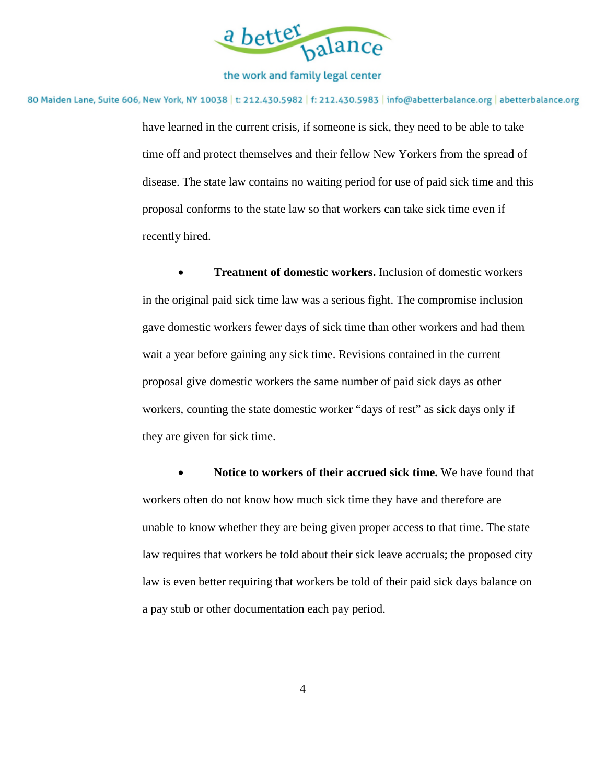

80 Maiden Lane, Suite 606, New York, NY 10038 | t: 212.430.5982 | f: 212.430.5983 | info@abetterbalance.org | abetterbalance.org

have learned in the current crisis, if someone is sick, they need to be able to take time off and protect themselves and their fellow New Yorkers from the spread of disease. The state law contains no waiting period for use of paid sick time and this proposal conforms to the state law so that workers can take sick time even if recently hired.

 **Treatment of domestic workers.** Inclusion of domestic workers in the original paid sick time law was a serious fight. The compromise inclusion gave domestic workers fewer days of sick time than other workers and had them wait a year before gaining any sick time. Revisions contained in the current proposal give domestic workers the same number of paid sick days as other workers, counting the state domestic worker "days of rest" as sick days only if they are given for sick time.

 **Notice to workers of their accrued sick time.** We have found that workers often do not know how much sick time they have and therefore are unable to know whether they are being given proper access to that time. The state law requires that workers be told about their sick leave accruals; the proposed city law is even better requiring that workers be told of their paid sick days balance on a pay stub or other documentation each pay period.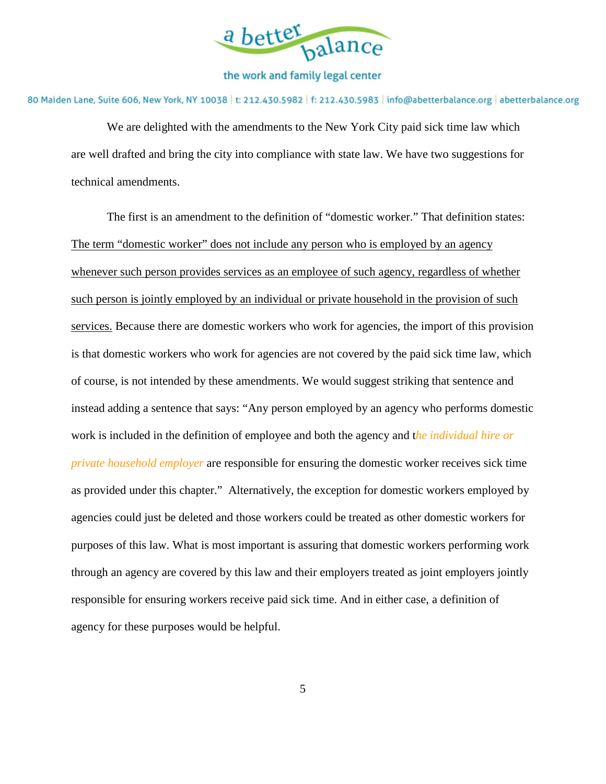

80 Maiden Lane, Suite 606, New York, NY 10038 | t: 212.430.5982 | f: 212.430.5983 | info@abetterbalance.org | abetterbalance.org

We are delighted with the amendments to the New York City paid sick time law which are well drafted and bring the city into compliance with state law. We have two suggestions for technical amendments.

The first is an amendment to the definition of "domestic worker." That definition states: The term "domestic worker" does not include any person who is employed by an agency whenever such person provides services as an employee of such agency, regardless of whether such person is jointly employed by an individual or private household in the provision of such services. Because there are domestic workers who work for agencies, the import of this provision is that domestic workers who work for agencies are not covered by the paid sick time law, which of course, is not intended by these amendments. We would suggest striking that sentence and instead adding a sentence that says: "Any person employed by an agency who performs domestic work is included in the definition of employee and both the agency and t*he individual hire or private household employer* are responsible for ensuring the domestic worker receives sick time as provided under this chapter." Alternatively, the exception for domestic workers employed by agencies could just be deleted and those workers could be treated as other domestic workers for purposes of this law. What is most important is assuring that domestic workers performing work through an agency are covered by this law and their employers treated as joint employers jointly responsible for ensuring workers receive paid sick time. And in either case, a definition of agency for these purposes would be helpful.